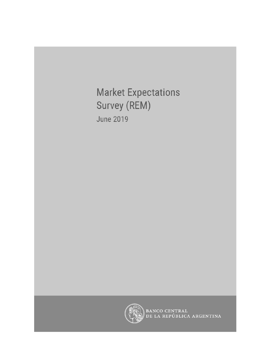**Market Expectations** Survey (REM) **June 2019** 



BANCO CENTRAL<br>DE LA REPÚBLICA ARGENTINA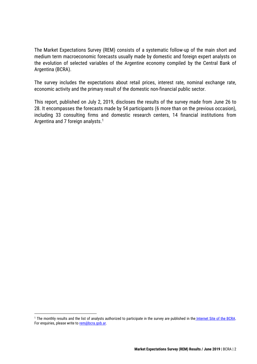The Market Expectations Survey (REM) consists of a systematic follow-up of the main short and medium term macroeconomic forecasts usually made by domestic and foreign expert analysts on the evolution of selected variables of the Argentine economy compiled by the Central Bank of Argentina (BCRA).

The survey includes the expectations about retail prices, interest rate, nominal exchange rate, economic activity and the primary result of the domestic non-financial public sector.

This report, published on July 2, 2019, discloses the results of the survey made from June 26 to 28. It encompasses the forecasts made by 54 participants (6 more than on the previous occasion), including 33 consulting firms and domestic research centers, 14 financial institutions from Argentina and 7 foreign analysts. 1

<sup>&</sup>lt;sup>1</sup> The monthly results and the list of analysts authorized to participate in the survey are published in the [Internet Site of the BCRA.](http://www.bcra.gob.ar/PublicacionesEstadisticas/Relevamiento_Expectativas_de_Mercado.asp) For enquiries, please write to [rem@bcra.gob.ar.](mailto:rem@bcra.gob.ar)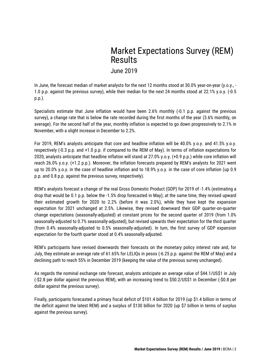# Market Expectations Survey (REM) Results

June 2019

In June, the forecast median of market analysts for the next 12 months stood at 30.0% year-on-year (y.o.y., - 1.0 p.p. against the previous survey), while their median for the next 24 months stood at 22.1% y.o.y. (-0.5 p.p.).

Specialists estimate that June inflation would have been 2.6% monthly (-0.1 p.p. against the previous survey), a change rate that is below the rate recorded during the first months of the year (3.6% monthly, on average). For the second half of the year, monthly inflation is expected to go down progressively to 2.1% in November, with a slight increase in December to 2.2%.

For 2019, REM's analysts anticipate that core and headline inflation will be 40.0% y.o.y. and 41.5% y.o.y. respectively (-0.3 p.p. and +1.0 p.p. if compared to the REM of May). In terms of inflation expectations for 2020, analysts anticipate that headline inflation will stand at 27.0% y.o.y. (+0.9 p.p.) while core inflation will reach 26.0% y.o.y. (+1.2 p.p.). Moreover, the inflation forecasts prepared by REM's analysts for 2021 went up to 20.0% y.o.y. in the case of headline inflation and to 18.9% y.o.y. in the case of core inflation (up 0.9 p.p. and 0.8 p.p. against the previous survey, respectively).

REM's analysts forecast a change of the real Gross Domestic Product (GDP) for 2019 of -1.4% (estimating a drop that would be 0.1 p.p. below the -1.5% drop forecasted in May); at the same time, they revised upward their estimated growth for 2020 to 2.2% (before it was 2.0%), while they have kept the expansion expectation for 2021 unchanged at 2.5%. Likewise, they revised downward their GDP quarter-on-quarter change expectations (seasonally-adjusted) at constant prices for the second quarter of 2019 (from 1.0% seasonally-adjusted to 0.7% seasonally-adjusted), but revised upwards their expectation for the third quarter (from 0.4% seasonally-adjusted to 0.5% seasonally-adjusted). In turn, the first survey of GDP expansion expectation for the fourth quarter stood at 0.4% seasonally-adjusted.

REM's participants have revised downwards their forecasts on the monetary policy interest rate and, for July, they estimate an average rate of 61.65% for LELIQs in pesos (-6.25 p.p. against the REM of May) and a declining path to reach 55% in December 2019 (keeping the value of the previous survey unchanged).

As regards the nominal exchange rate forecast, analysts anticipate an average value of \$44.1/US\$1 in July (-\$2.8 per dollar against the previous REM), with an increasing trend to \$50.2/US\$1 in December (-\$0.8 per dollar against the previous survey).

Finally, participants forecasted a primary fiscal deficit of \$101.4 billion for 2019 (up \$1.4 billion in terms of the deficit against the latest REM) and a surplus of \$130 billion for 2020 (up \$7 billion in terms of surplus against the previous survey).